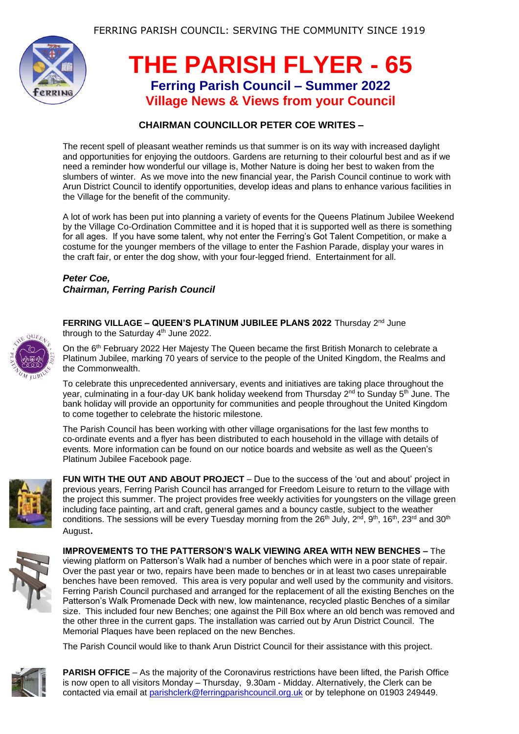

## **THE PARISH FLYER - 65 Ferring Parish Council – Summer 2022 Village News & Views from your Council**

## **CHAIRMAN COUNCILLOR PETER COE WRITES –**

The recent spell of pleasant weather reminds us that summer is on its way with increased daylight and opportunities for enjoying the outdoors. Gardens are returning to their colourful best and as if we need a reminder how wonderful our village is, Mother Nature is doing her best to waken from the slumbers of winter. As we move into the new financial year, the Parish Council continue to work with Arun District Council to identify opportunities, develop ideas and plans to enhance various facilities in the Village for the benefit of the community.

A lot of work has been put into planning a variety of events for the Queens Platinum Jubilee Weekend by the Village Co-Ordination Committee and it is hoped that it is supported well as there is something for all ages. If you have some talent, why not enter the Ferring's Got Talent Competition, or make a costume for the younger members of the village to enter the Fashion Parade, display your wares in the craft fair, or enter the dog show, with your four-legged friend. Entertainment for all.

## *Peter Coe, Chairman, Ferring Parish Council*



**FERRING VILLAGE – QUEEN'S PLATINUM JUBILEE PLANS 2022** Thursday 2nd June through to the Saturday 4<sup>th</sup> June 2022.

On the 6th February 2022 Her Majesty The Queen became the first British Monarch to celebrate a Platinum Jubilee, marking 70 years of service to the people of the United Kingdom, the Realms and the Commonwealth.

To celebrate this unprecedented anniversary, events and initiatives are taking place throughout the year, culminating in a four-day UK bank holiday weekend from Thursday  $2^{nd}$  to Sunday 5<sup>th</sup> June. The bank holiday will provide an opportunity for communities and people throughout the United Kingdom to come together to celebrate the historic milestone.

The Parish Council has been working with other village organisations for the last few months to co-ordinate events and a flyer has been distributed to each household in the village with details of events. More information can be found on our notice boards and website as well as the Queen's Platinum Jubilee Facebook page.



**FUN WITH THE OUT AND ABOUT PROJECT** – Due to the success of the 'out and about' project in previous years, Ferring Parish Council has arranged for Freedom Leisure to return to the village with the project this summer. The project provides free weekly activities for youngsters on the village green including face painting, art and craft, general games and a bouncy castle, subject to the weather conditions. The sessions will be every Tuesday morning from the 26<sup>th</sup> July, 2<sup>nd</sup>, 9<sup>th</sup>, 16<sup>th</sup>, 23<sup>rd</sup> and 30<sup>th</sup> August.



**IMPROVEMENTS TO THE PATTERSON'S WALK VIEWING AREA WITH NEW BENCHES –** The viewing platform on Patterson's Walk had a number of benches which were in a poor state of repair. Over the past year or two, repairs have been made to benches or in at least two cases unrepairable benches have been removed. This area is very popular and well used by the community and visitors. Ferring Parish Council purchased and arranged for the replacement of all the existing Benches on the Patterson's Walk Promenade Deck with new, low maintenance, recycled plastic Benches of a similar size. This included four new Benches; one against the Pill Box where an old bench was removed and the other three in the current gaps. The installation was carried out by Arun District Council. The Memorial Plaques have been replaced on the new Benches.

The Parish Council would like to thank Arun District Council for their assistance with this project.



**PARISH OFFICE** – As the majority of the Coronavirus restrictions have been lifted, the Parish Office is now open to all visitors Monday – Thursday, 9.30am - Midday. Alternatively, the Clerk can be contacted via email at [parishclerk@ferringparishcouncil.org.uk](mailto:parishclerk@ferringparishcouncil.org.uk) or by telephone on 01903 249449.